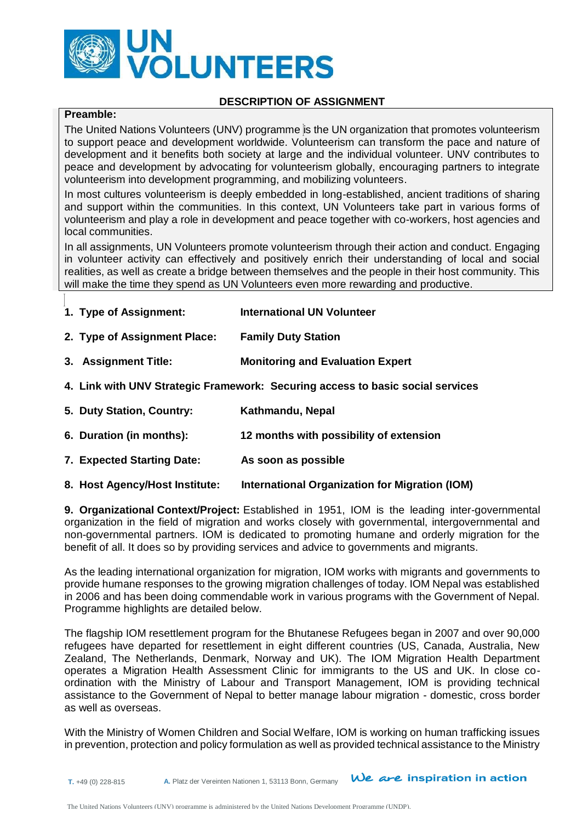

## **DESCRIPTION OF ASSIGNMENT**

# **Preamble:**

The United Nations Volunteers (UNV) programme is the UN organization that promotes volunteerism to support peace and development worldwide. Volunteerism can transform the pace and nature of development and it benefits both society at large and the individual volunteer. UNV contributes to peace and development by advocating for volunteerism globally, encouraging partners to integrate volunteerism into development programming, and mobilizing volunteers.

In most cultures volunteerism is deeply embedded in long-established, ancient traditions of sharing and support within the communities. In this context, UN Volunteers take part in various forms of volunteerism and play a role in development and peace together with co-workers, host agencies and local communities.

In all assignments, UN Volunteers promote volunteerism through their action and conduct. Engaging in volunteer activity can effectively and positively enrich their understanding of local and social realities, as well as create a bridge between themselves and the people in their host community. This will make the time they spend as UN Volunteers even more rewarding and productive.

- **1. Type of Assignment: International UN Volunteer**
- **2. Type of Assignment Place: Family Duty Station**
- **3. Assignment Title: Monitoring and Evaluation Expert**
- **4. Link with UNV Strategic Framework: Securing access to basic social services**
- **5. Duty Station, Country: Kathmandu, Nepal**
- **6. Duration (in months): 12 months with possibility of extension**
- **7. Expected Starting Date: As soon as possible**
- **8. Host Agency/Host Institute: International Organization for Migration (IOM)**

**9. Organizational Context/Project:** Established in 1951, IOM is the leading inter-governmental organization in the field of migration and works closely with governmental, intergovernmental and non-governmental partners. IOM is dedicated to promoting humane and orderly migration for the benefit of all. It does so by providing services and advice to governments and migrants.

As the leading international organization for migration, IOM works with migrants and governments to provide humane responses to the growing migration challenges of today. IOM Nepal was established in 2006 and has been doing commendable work in various programs with the Government of Nepal. Programme highlights are detailed below.

The flagship IOM resettlement program for the Bhutanese Refugees began in 2007 and over 90,000 refugees have departed for resettlement in eight different countries (US, Canada, Australia, New Zealand, The Netherlands, Denmark, Norway and UK). The IOM Migration Health Department operates a Migration Health Assessment Clinic for immigrants to the US and UK. In close coordination with the Ministry of Labour and Transport Management, IOM is providing technical assistance to the Government of Nepal to better manage labour migration - domestic, cross border as well as overseas.

With the Ministry of Women Children and Social Welfare, IOM is working on human trafficking issues in prevention, protection and policy formulation as well as provided technical assistance to the Ministry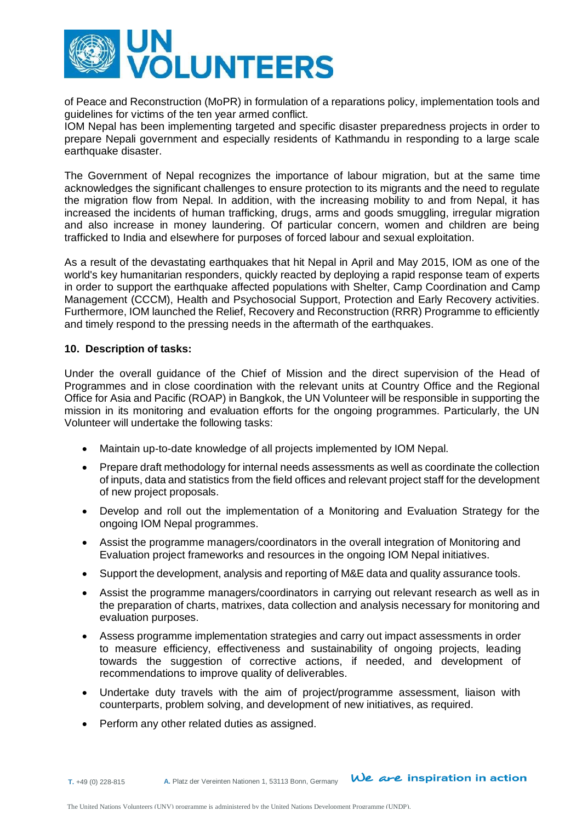

of Peace and Reconstruction (MoPR) in formulation of a reparations policy, implementation tools and guidelines for victims of the ten year armed conflict.

IOM Nepal has been implementing targeted and specific disaster preparedness projects in order to prepare Nepali government and especially residents of Kathmandu in responding to a large scale earthquake disaster.

The Government of Nepal recognizes the importance of labour migration, but at the same time acknowledges the significant challenges to ensure protection to its migrants and the need to regulate the migration flow from Nepal. In addition, with the increasing mobility to and from Nepal, it has increased the incidents of human trafficking, drugs, arms and goods smuggling, irregular migration and also increase in money laundering. Of particular concern, women and children are being trafficked to India and elsewhere for purposes of forced labour and sexual exploitation.

As a result of the devastating earthquakes that hit Nepal in April and May 2015, IOM as one of the world's key humanitarian responders, quickly reacted by deploying a rapid response team of experts in order to support the earthquake affected populations with Shelter, Camp Coordination and Camp Management (CCCM), Health and Psychosocial Support, Protection and Early Recovery activities. Furthermore, IOM launched the Relief, Recovery and Reconstruction (RRR) Programme to efficiently and timely respond to the pressing needs in the aftermath of the earthquakes.

## **10. Description of tasks:**

Under the overall guidance of the Chief of Mission and the direct supervision of the Head of Programmes and in close coordination with the relevant units at Country Office and the Regional Office for Asia and Pacific (ROAP) in Bangkok, the UN Volunteer will be responsible in supporting the mission in its monitoring and evaluation efforts for the ongoing programmes. Particularly, the UN Volunteer will undertake the following tasks:

- Maintain up-to-date knowledge of all projects implemented by IOM Nepal.
- Prepare draft methodology for internal needs assessments as well as coordinate the collection of inputs, data and statistics from the field offices and relevant project staff for the development of new project proposals.
- Develop and roll out the implementation of a Monitoring and Evaluation Strategy for the ongoing IOM Nepal programmes.
- Assist the programme managers/coordinators in the overall integration of Monitoring and Evaluation project frameworks and resources in the ongoing IOM Nepal initiatives.
- Support the development, analysis and reporting of M&E data and quality assurance tools.
- Assist the programme managers/coordinators in carrying out relevant research as well as in the preparation of charts, matrixes, data collection and analysis necessary for monitoring and evaluation purposes.
- Assess programme implementation strategies and carry out impact assessments in order to measure efficiency, effectiveness and sustainability of ongoing projects, leading towards the suggestion of corrective actions, if needed, and development of recommendations to improve quality of deliverables.
- Undertake duty travels with the aim of project/programme assessment, liaison with counterparts, problem solving, and development of new initiatives, as required.
- Perform any other related duties as assigned.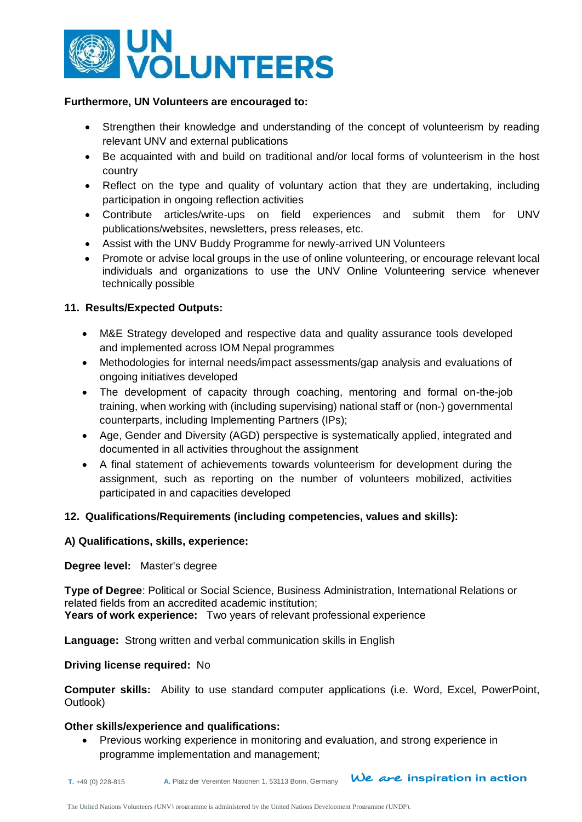

### **Furthermore, UN Volunteers are encouraged to:**

- Strengthen their knowledge and understanding of the concept of volunteerism by reading relevant UNV and external publications
- Be acquainted with and build on traditional and/or local forms of volunteerism in the host country
- Reflect on the type and quality of voluntary action that they are undertaking, including participation in ongoing reflection activities
- Contribute articles/write-ups on field experiences and submit them for UNV publications/websites, newsletters, press releases, etc.
- Assist with the UNV Buddy Programme for newly-arrived UN Volunteers
- Promote or advise local groups in the use of online volunteering, or encourage relevant local individuals and organizations to use the UNV Online Volunteering service whenever technically possible

## **11. Results/Expected Outputs:**

- M&E Strategy developed and respective data and quality assurance tools developed and implemented across IOM Nepal programmes
- Methodologies for internal needs/impact assessments/gap analysis and evaluations of ongoing initiatives developed
- The development of capacity through coaching, mentoring and formal on-the-job training, when working with (including supervising) national staff or (non-) governmental counterparts, including Implementing Partners (IPs);
- Age, Gender and Diversity (AGD) perspective is systematically applied, integrated and documented in all activities throughout the assignment
- A final statement of achievements towards volunteerism for development during the assignment, such as reporting on the number of volunteers mobilized, activities participated in and capacities developed

## **12. Qualifications/Requirements (including competencies, values and skills):**

#### **A) Qualifications, skills, experience:**

#### **Degree level:** Master's degree

**Type of Degree**: Political or Social Science, Business Administration, International Relations or related fields from an accredited academic institution; **Years of work experience:** Two years of relevant professional experience

**Language:** Strong written and verbal communication skills in English

#### **Driving license required:** No

**Computer skills:** Ability to use standard computer applications (i.e. Word, Excel, PowerPoint, Outlook)

## **Other skills/experience and qualifications:**

 Previous working experience in monitoring and evaluation, and strong experience in programme implementation and management;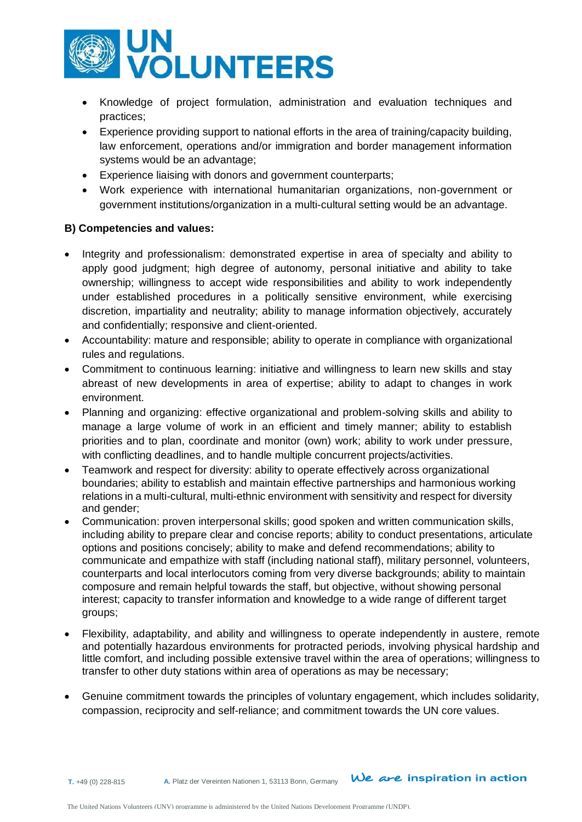

- Knowledge of project formulation, administration and evaluation techniques and practices;
- Experience providing support to national efforts in the area of training/capacity building, law enforcement, operations and/or immigration and border management information systems would be an advantage;
- Experience liaising with donors and government counterparts;
- Work experience with international humanitarian organizations, non‐government or government institutions/organization in a multi‐cultural setting would be an advantage.

# **B) Competencies and values:**

- Integrity and professionalism: demonstrated expertise in area of specialty and ability to apply good judgment; high degree of autonomy, personal initiative and ability to take ownership; willingness to accept wide responsibilities and ability to work independently under established procedures in a politically sensitive environment, while exercising discretion, impartiality and neutrality; ability to manage information objectively, accurately and confidentially; responsive and client-oriented.
- Accountability: mature and responsible; ability to operate in compliance with organizational rules and regulations.
- Commitment to continuous learning: initiative and willingness to learn new skills and stay abreast of new developments in area of expertise; ability to adapt to changes in work environment.
- Planning and organizing: effective organizational and problem-solving skills and ability to manage a large volume of work in an efficient and timely manner; ability to establish priorities and to plan, coordinate and monitor (own) work; ability to work under pressure, with conflicting deadlines, and to handle multiple concurrent projects/activities.
- Teamwork and respect for diversity: ability to operate effectively across organizational boundaries; ability to establish and maintain effective partnerships and harmonious working relations in a multi-cultural, multi-ethnic environment with sensitivity and respect for diversity and gender;
- Communication: proven interpersonal skills; good spoken and written communication skills, including ability to prepare clear and concise reports; ability to conduct presentations, articulate options and positions concisely; ability to make and defend recommendations; ability to communicate and empathize with staff (including national staff), military personnel, volunteers, counterparts and local interlocutors coming from very diverse backgrounds; ability to maintain composure and remain helpful towards the staff, but objective, without showing personal interest; capacity to transfer information and knowledge to a wide range of different target groups;
- Flexibility, adaptability, and ability and willingness to operate independently in austere, remote and potentially hazardous environments for protracted periods, involving physical hardship and little comfort, and including possible extensive travel within the area of operations; willingness to transfer to other duty stations within area of operations as may be necessary;
- Genuine commitment towards the principles of voluntary engagement, which includes solidarity, compassion, reciprocity and self-reliance; and commitment towards the UN core values.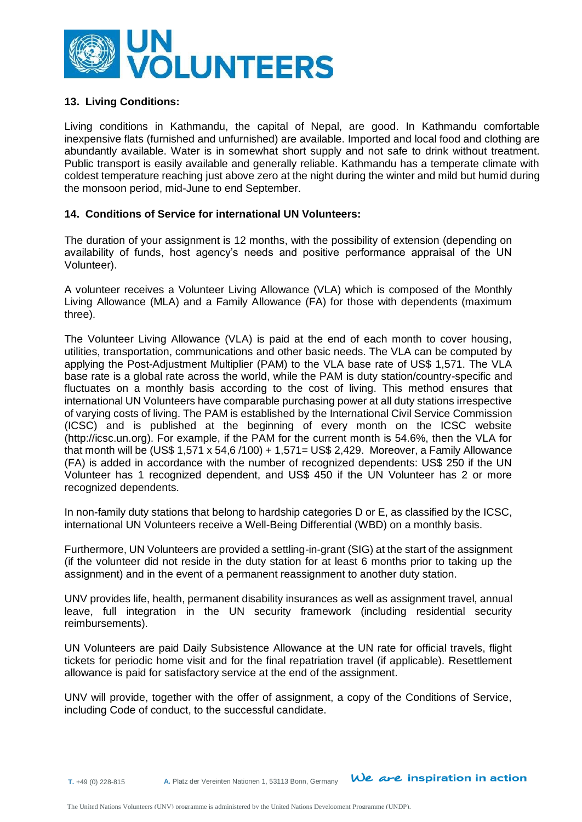

## **13. Living Conditions:**

Living conditions in Kathmandu, the capital of Nepal, are good. In Kathmandu comfortable inexpensive flats (furnished and unfurnished) are available. Imported and local food and clothing are abundantly available. Water is in somewhat short supply and not safe to drink without treatment. Public transport is easily available and generally reliable. Kathmandu has a temperate climate with coldest temperature reaching just above zero at the night during the winter and mild but humid during the monsoon period, mid-June to end September.

## **14. Conditions of Service for international UN Volunteers:**

The duration of your assignment is 12 months, with the possibility of extension (depending on availability of funds, host agency's needs and positive performance appraisal of the UN Volunteer).

A volunteer receives a Volunteer Living Allowance (VLA) which is composed of the Monthly Living Allowance (MLA) and a Family Allowance (FA) for those with dependents (maximum three).

The Volunteer Living Allowance (VLA) is paid at the end of each month to cover housing, utilities, transportation, communications and other basic needs. The VLA can be computed by applying the Post-Adjustment Multiplier (PAM) to the VLA base rate of US\$ 1,571. The VLA base rate is a global rate across the world, while the PAM is duty station/country-specific and fluctuates on a monthly basis according to the cost of living. This method ensures that international UN Volunteers have comparable purchasing power at all duty stations irrespective of varying costs of living. The PAM is established by the International Civil Service Commission (ICSC) and is published at the beginning of every month on the ICSC website [\(http://icsc.un.org\)](http://icsc.un.org/). For example, if the PAM for the current month is 54.6%, then the VLA for that month will be (US\$ 1,571 x 54,6 /100) + 1,571= US\$ 2,429. Moreover, a Family Allowance (FA) is added in accordance with the number of recognized dependents: US\$ 250 if the UN Volunteer has 1 recognized dependent, and US\$ 450 if the UN Volunteer has 2 or more recognized dependents.

In non-family duty stations that belong to hardship categories D or E, as classified by the ICSC, international UN Volunteers receive a Well-Being Differential (WBD) on a monthly basis.

Furthermore, UN Volunteers are provided a settling-in-grant (SIG) at the start of the assignment (if the volunteer did not reside in the duty station for at least 6 months prior to taking up the assignment) and in the event of a permanent reassignment to another duty station.

UNV provides life, health, permanent disability insurances as well as assignment travel, annual leave, full integration in the UN security framework (including residential security reimbursements).

UN Volunteers are paid Daily Subsistence Allowance at the UN rate for official travels, flight tickets for periodic home visit and for the final repatriation travel (if applicable). Resettlement allowance is paid for satisfactory service at the end of the assignment.

UNV will provide, together with the offer of assignment, a copy of the Conditions of Service, including Code of conduct, to the successful candidate.